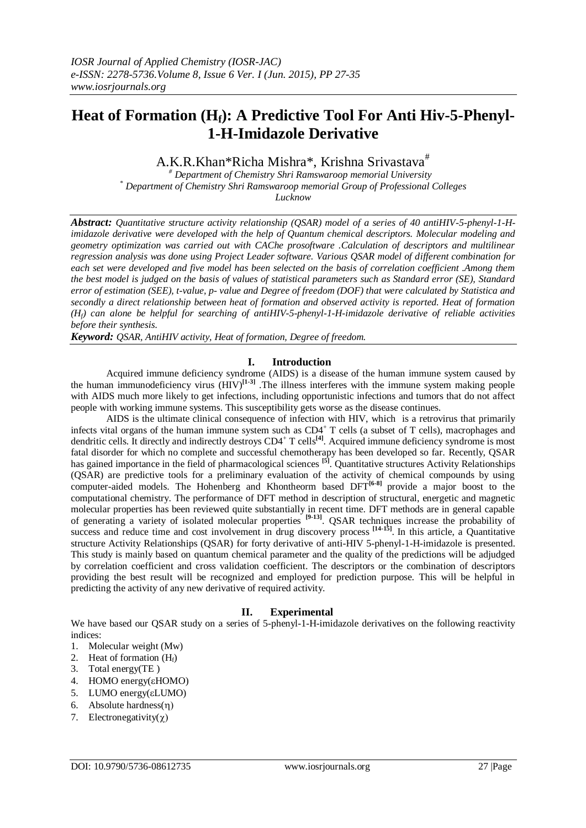# **Heat of Formation (Hf): A Predictive Tool For Anti Hiv-5-Phenyl-1-H-Imidazole Derivative**

A.K.R.Khan\*Richa Mishra\*, Krishna Srivastava<sup>#</sup>

 *# Department of Chemistry Shri Ramswaroop memorial University \* Department of Chemistry Shri Ramswaroop memorial Group of Professional Colleges Lucknow*

*Abstract: Quantitative structure activity relationship (QSAR) model of a series of 40 antiHIV-5-phenyl-1-Himidazole derivative were developed with the help of Quantum chemical descriptors. Molecular modeling and geometry optimization was carried out with CAChe prosoftware .Calculation of descriptors and multilinear regression analysis was done using Project Leader software. Various QSAR model of different combination for each set were developed and five model has been selected on the basis of correlation coefficient .Among them the best model is judged on the basis of values of statistical parameters such as Standard error (SE), Standard error of estimation (SEE), t-value, p- value and Degree of freedom (DOF) that were calculated by Statistica and secondly a direct relationship between heat of formation and observed activity is reported. Heat of formation (Hf) can alone be helpful for searching of antiHIV-5-phenyl-1-H-imidazole derivative of reliable activities before their synthesis.*

*Keyword: QSAR, AntiHIV activity, Heat of formation, Degree of freedom.*

## **I. Introduction**

Acquired immune deficiency syndrome (AIDS) is a disease of the human [immune system](http://en.wikipedia.org/wiki/Immune_system) caused by the [human immunodeficiency virus](http://en.wikipedia.org/wiki/HIV)  $(HIV)^{[1\text{-}3]}$ . The illness interferes with the immune system making people with AIDS much more likely to get [infections,](http://en.wikipedia.org/wiki/Infections) including [opportunistic infections](http://en.wikipedia.org/wiki/Opportunistic_infections) and [tumors](http://en.wikipedia.org/wiki/Tumors) that do not affect people with working immune systems. This susceptibility gets worse as the disease continues.

AIDS is the ultimate clinical consequence of [infection](http://en.wikipedia.org/wiki/Infection) with HIV, which is a [retrovirus](http://en.wikipedia.org/wiki/Retrovirus) that primarily infects vital organs of the human [immune system](http://en.wikipedia.org/wiki/Immune_system) such as CD4<sup>+</sup> [T cells](http://en.wikipedia.org/wiki/T_helper_cell) (a subset of [T cells\)](http://en.wikipedia.org/wiki/T_cell), [macrophages](http://en.wikipedia.org/wiki/Macrophage) and [dendritic cells.](http://en.wikipedia.org/wiki/Dendritic_cell) It directly and indirectly destroys CD4<sup>+</sup> T cells<sup>[\[4\]](http://en.wikipedia.org/wiki/AIDS#cite_note-Alimonti-37)</sup>. Acquired immune deficiency syndrome is most fatal disorder for which no complete and successful chemotherapy has been developed so far. Recently, QSAR has gained importance in the field of pharmacological sciences **[5]** . Quantitative structures Activity Relationships (QSAR) are predictive tools for a preliminary evaluation of the activity of chemical compounds by using computer-aided models. The Hohenberg and Khontheorm based DFT<sup>[6-8]</sup> provide a major boost to the computational chemistry. The performance of DFT method in description of structural, energetic and magnetic molecular properties has been reviewed quite substantially in recent time. DFT methods are in general capable of generating a variety of isolated molecular properties **[9-13]** . QSAR techniques increase the probability of success and reduce time and cost involvement in drug discovery process <sup>[14-15]</sup>. In this article, a Quantitative structure Activity Relationships (QSAR) for forty derivative of anti-HIV 5-phenyl-1-H-imidazole is presented. This study is mainly based on quantum chemical parameter and the quality of the predictions will be adjudged by correlation coefficient and cross validation coefficient. The descriptors or the combination of descriptors providing the best result will be recognized and employed for prediction purpose. This will be helpful in predicting the activity of any new derivative of required activity.

# **II. Experimental**

We have based our QSAR study on a series of 5-phenyl-1-H-imidazole derivatives on the following reactivity indices:

- 1. Molecular weight (Mw)
- 2. Heat of formation  $(H_f)$
- 3. Total energy(TE )
- 4. HOMO energy(εHOMO)
- 5. LUMO energy(LUMO)
- 6. Absolute hardness $(\eta)$
- 7. Electronegativity $(\chi)$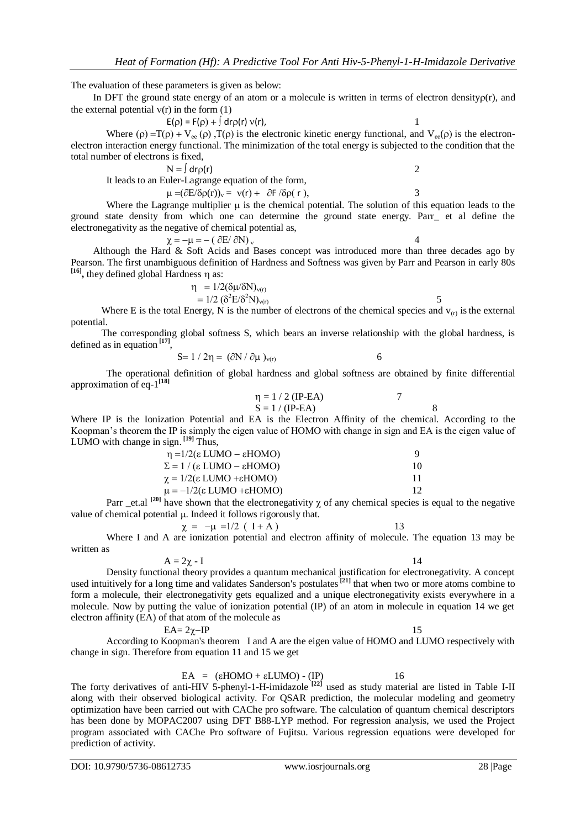The evaluation of these parameters is given as below:

In DFT the ground state energy of an atom or a molecule is written in terms of electron density $\rho(r)$ , and the external potential  $v(r)$  in the form (1)

 $E(\rho) = F(\rho) + \int dr \rho(r) v(r)$ ,

Where ( $\rho$ ) =T( $\rho$ ) + V<sub>ee</sub> ( $\rho$ ), T( $\rho$ ) is the electronic kinetic energy functional, and V<sub>ee</sub>( $\rho$ ) is the electronelectron interaction energy functional. The minimization of the total energy is subjected to the condition that the total number of electrons is fixed,

 $N = \int dr \rho(r)$  2 It leads to an Euler-Lagrange equation of the form,

 $\mu = (\partial E / \delta \rho(r))_v = v(r) + \partial F / \delta \rho(r)$ , 3

Where the Lagrange multiplier  $\mu$  is the chemical potential. The solution of this equation leads to the ground state density from which one can determine the ground state energy. Parr\_ et al define the electronegativity as the negative of chemical potential as,

$$
\chi = -\mu = -(\partial E/\partial N)_v
$$

Although the Hard & Soft Acids and Bases concept was introduced more than three decades ago by Pearson. The first unambiguous definition of Hardness and Softness was given by Parr and Pearson in early 80s  $[16]$ , they defined global Hardness  $\eta$  as:

> $\eta = 1/2(\delta\mu/\delta N)_{\nu(r)}$  $= 1/2 \left( \delta^2 E / \delta^2 N \right)_{\nu(r)}$  5

Where E is the total Energy, N is the number of electrons of the chemical species and  $v_{(r)}$  is the external potential.

The corresponding global softness S, which bears an inverse relationship with the global hardness, is defined as in equation **[17]** ,

$$
S=1/2\eta = (\partial N/\partial \mu)_{\nu(r)}\tag{6}
$$

The operational definition of global hardness and global softness are obtained by finite differential approximation of eq-1 **[18]**

$$
\eta = 1 / 2 \text{ (IP-EA)} \qquad \qquad 7
$$
  
S = 1 / (IP-EA) \qquad \qquad 8

Where IP is the Ionization Potential and EA is the Electron Affinity of the chemical. According to the Koopman's theorem the IP is simply the eigen value of HOMO with change in sign and EA is the eigen value of LUMO with change in sign. **[19]** Thus,

| $\eta = 1/2(\epsilon LUMO - \epsilon HOMO)$                | <b>Q</b> |
|------------------------------------------------------------|----------|
| $\Sigma = 1 / (\epsilon$ LUMO – $\epsilon$ HOMO)           | 10       |
| $\chi = 1/2(\epsilon \text{ LUMO} + \epsilon \text{HOMO})$ | 11       |
| $\mu = -1/2(\epsilon \text{ LUMO} + \epsilon \text{HOMO})$ | 12.      |

Parr \_et.al <sup>[20]</sup> have shown that the electronegativity  $\chi$  of any chemical species is equal to the negative value of chemical potential  $\mu$ . Indeed it follows rigorously that.

$$
\chi = -\mu = 1/2 (I + A)
$$

Where I and A are ionization potential and electron affinity of molecule. The equation 13 may be written as

$$
A = 2\chi - I
$$

Density functional theory provides a quantum mechanical justification for electronegativity. A concept used intuitively for a long time and validates Sanderson's postulates<sup>[21]</sup> that when two or more atoms combine to form a molecule, their electronegativity gets equalized and a unique electronegativity exists everywhere in a molecule. Now by putting the value of ionization potential (IP) of an atom in molecule in equation 14 we get electron affinity (EA) of that atom of the molecule as

#### $EA = 2\gamma - IP$  15

According to Koopman's theorem I and A are the eigen value of HOMO and LUMO respectively with change in sign. Therefore from equation 11 and 15 we get

 $EA = (eHOMO + eLUMO) - (IP)$  16

The forty derivatives of anti-HIV 5-phenyl-1-H-imidazole **[22]** used as study material are listed in Table I-II along with their observed biological activity. For QSAR prediction, the molecular modeling and geometry optimization have been carried out with CAChe pro software. The calculation of quantum chemical descriptors has been done by MOPAC2007 using DFT B88-LYP method. For regression analysis, we used the Project program associated with CAChe Pro software of Fujitsu. Various regression equations were developed for prediction of activity.

DOI: 10.9790/5736-08612735 www.iosrjournals.org 28 |Page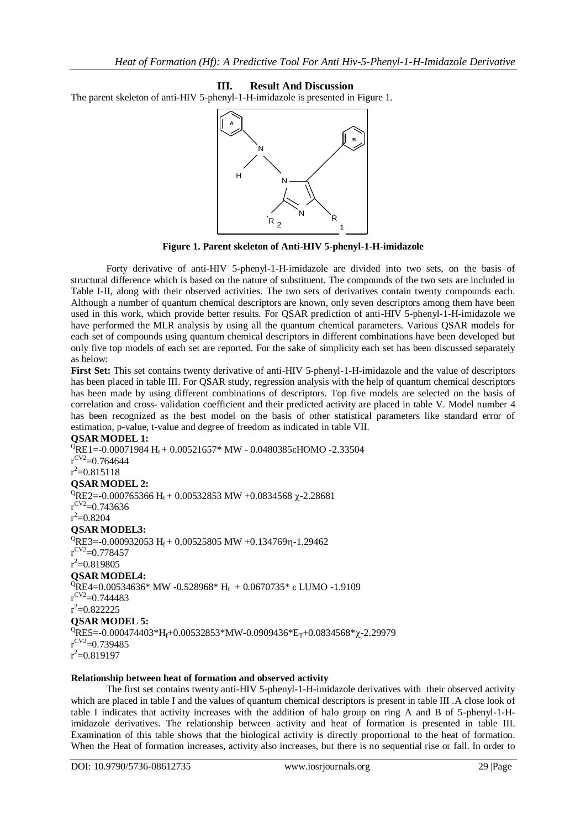### **III. Result And Discussion**

The parent skeleton of anti-HIV 5-phenyl-1-H-imidazole is presented in Figure 1.



**Figure 1. Parent skeleton of Anti-HIV 5-phenyl-1-H-imidazole**

Forty derivative of anti-HIV 5-phenyl-1-H-imidazole are divided into two sets, on the basis of structural difference which is based on the nature of substituent. The compounds of the two sets are included in Table I-II, along with their observed activities. The two sets of derivatives contain twenty compounds each. Although a number of quantum chemical descriptors are known, only seven descriptors among them have been used in this work, which provide better results. For QSAR prediction of anti-HIV 5-phenyl-1-H-imidazole we have performed the MLR analysis by using all the quantum chemical parameters. Various QSAR models for each set of compounds using quantum chemical descriptors in different combinations have been developed but only five top models of each set are reported. For the sake of simplicity each set has been discussed separately as below:

**First Set:** This set contains twenty derivative of anti-HIV 5-phenyl-1-H-imidazole and the value of descriptors has been placed in table III. For QSAR study, regression analysis with the help of quantum chemical descriptors has been made by using different combinations of descriptors. Top five models are selected on the basis of correlation and cross- validation coefficient and their predicted activity are placed in table V. Model number 4 has been recognized as the best model on the basis of other statistical parameters like standard error of estimation, p-value, t-value and degree of freedom as indicated in table VII.

#### **QSAR MODEL 1:**

 ${}^{0}$ RE1=-0.00071984 H<sub>f</sub> + 0.00521657\* MW - 0.0480385εHOMO -2.33504  $r^{\rm CV2}$ =0.764644  $r^2$ =0.815118 **QSAR MODEL 2:**  ${}^{0}$ RE2=-0.000765366 H<sub>f</sub> + 0.00532853 MW +0.0834568  $\chi$ -2.28681  $r^{\rm CV2}$ =0.743636  $r^2 = 0.8204$ **QSAR MODEL3:**  ${}^{0}$ RE3=-0.000932053 H<sub>f</sub> + 0.00525805 MW +0.134769η-1.29462  $r^{\rm CV2}$ =0.778457  $r^2$ =0.819805 **QSAR MODEL4:**  ${}^{Q}$ RE4=0.00534636\* MW -0.528968\* H<sub>f</sub> + 0.0670735\* ε LUMO -1.9109  $r^{\rm CV2}$ =0.744483  $r^2$ =0.822225 **QSAR MODEL 5:**  ${}^{0}$ RE5=-0.000474403\*H<sub>f</sub>+0.00532853\*MW-0.0909436\*E<sub>T</sub>+0.0834568\* $\chi$ -2.29979  $r^{\rm CV2}$ =0.739485  $r^2$ =0.819197

#### **Relationship between heat of formation and observed activity**

The first set contains twenty anti-HIV 5-phenyl-1-H-imidazole derivatives with their observed activity which are placed in table I and the values of quantum chemical descriptors is present in table III. A close look of table I indicates that activity increases with the addition of halo group on ring A and B of 5-phenyl-1-Himidazole derivatives. The relationship between activity and heat of formation is presented in table III. Examination of this table shows that the biological activity is directly proportional to the heat of formation. When the Heat of formation increases, activity also increases, but there is no sequential rise or fall. In order to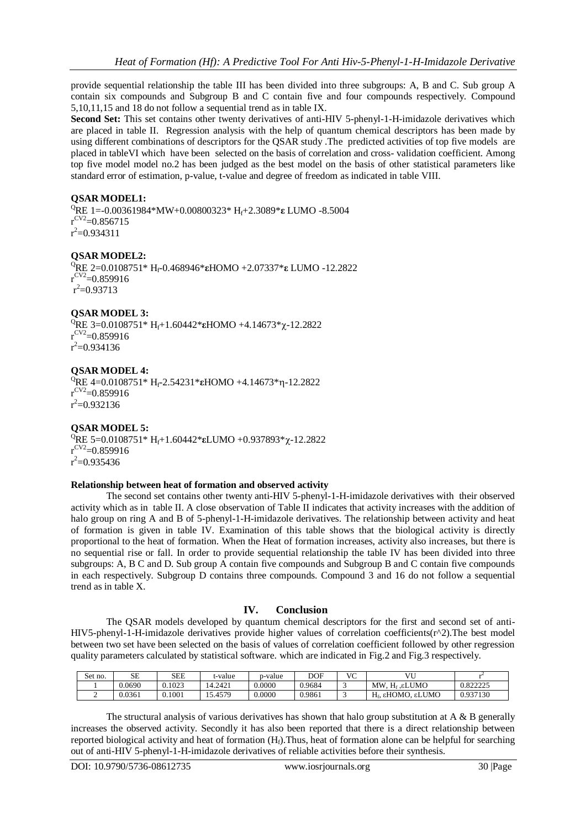provide sequential relationship the table III has been divided into three subgroups: A, B and C. Sub group A contain six compounds and Subgroup B and C contain five and four compounds respectively. Compound 5,10,11,15 and 18 do not follow a sequential trend as in table IX.

**Second Set:** This set contains other twenty derivatives of anti-HIV 5-phenyl-1-H-imidazole derivatives which are placed in table II. Regression analysis with the help of quantum chemical descriptors has been made by using different combinations of descriptors for the QSAR study .The predicted activities of top five models are placed in tableVI which have been selected on the basis of correlation and cross- validation coefficient. Among top five model model no.2 has been judged as the best model on the basis of other statistical parameters like standard error of estimation, p-value, t-value and degree of freedom as indicated in table VIII.

# **QSAR MODEL1:**

<sup>Q</sup>RE 1=-0.00361984\*MW+0.00800323\* Hf+2.3089\***ε** LUMO -8.5004  $r^{\text{CV2}}$ =0.856715  $r^2$ =0.934311

## **QSAR MODEL2:**

<sup>Q</sup>RE 2=0.0108751\* Hf-0.468946\***ε**HOMO +2.07337\***ε** LUMO -12.2822  $r^{\rm CV2}$ =0.859916  $r^2 = 0.93713$ 

#### **QSAR MODEL 3:**

<sup>Q</sup>RE 3=0.0108751\* H<sub>f</sub>+1.60442\***εHOMO** +4.14673\*χ-12.2822  $r^{\rm CV2}$ =0.859916  $r^2$ =0.934136

**QSAR MODEL 4:** <sup>Q</sup>RE 4=0.0108751\* Hf-2.54231\***ε**HOMO +4.14673\*-12.2822  $r^{\rm CV2}$ =0.859916  $r^2$ =0.932136

#### **QSAR MODEL 5:**

<sup>Q</sup>RE 5=0.0108751\* Hf+1.60442\***ε**LUMO +0.937893\*-12.2822  $r^{\rm CV2}$ =0.859916  $r^2$ =0.935436

#### **Relationship between heat of formation and observed activity**

The second set contains other twenty anti-HIV 5-phenyl-1-H-imidazole derivatives with their observed activity which as in table II. A close observation of Table II indicates that activity increases with the addition of halo group on ring A and B of 5-phenyl-1-H-imidazole derivatives. The relationship between activity and heat of formation is given in table IV. Examination of this table shows that the biological activity is directly proportional to the heat of formation. When the Heat of formation increases, activity also increases, but there is no sequential rise or fall. In order to provide sequential relationship the table IV has been divided into three subgroups: A, B C and D. Sub group A contain five compounds and Subgroup B and C contain five compounds in each respectively. Subgroup D contains three compounds. Compound 3 and 16 do not follow a sequential trend as in table X.

#### **IV. Conclusion**

The QSAR models developed by quantum chemical descriptors for the first and second set of anti-HIV5-phenyl-1-H-imidazole derivatives provide higher values of correlation coefficients(r^2).The best model between two set have been selected on the basis of values of correlation coefficient followed by other regression quality parameters calculated by statistical software. which are indicated in Fig.2 and Fig.3 respectively.

| Set no. | SЕ     | SEE    | t-value    | p-value | DOF    | VC | VU                            |                      |
|---------|--------|--------|------------|---------|--------|----|-------------------------------|----------------------|
|         | 0.0690 | 0.1023 | 14.2421    | 0.0000  | 0.9684 | ۰  | MW. H <sub>f</sub> . ELUMO    | ገ ዩንንንን≼<br>,,,,,,,, |
|         | 0.0361 | 0.1001 | 3.4579. د. | 0.0000  | 0.9861 | ◡  | H <sub>f</sub> , εHOMO, εLUMO | 9.937130             |

The structural analysis of various derivatives has shown that halo group substitution at  $A \& B$  generally increases the observed activity. Secondly it has also been reported that there is a direct relationship between reported biological activity and heat of formation  $(H<sub>i</sub>)$ . Thus, heat of formation alone can be helpful for searching out of anti-HIV 5-phenyl-1-H-imidazole derivatives of reliable activities before their synthesis.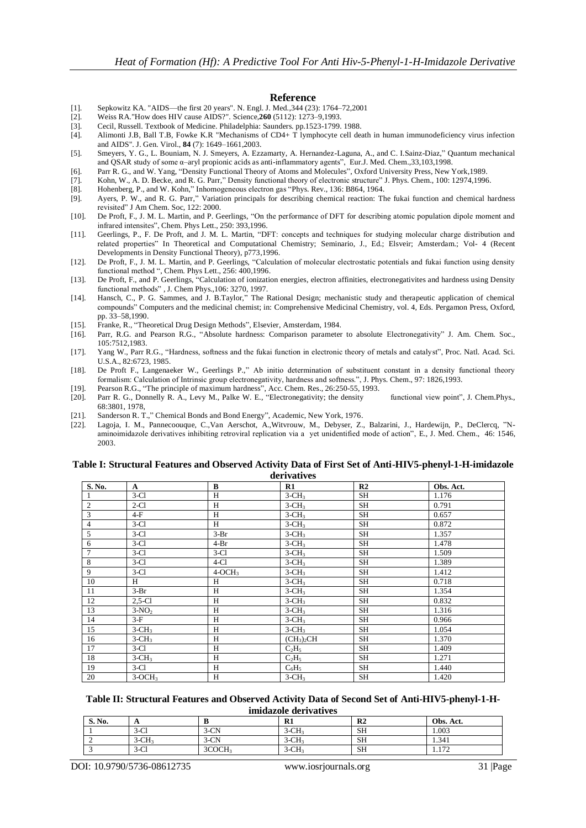#### **Reference**

- [1]. Sepkowitz KA. "AIDS—the first 20 years". N. Engl. J. Med.,344 (23): 1764–72,2001
- [2]. Weiss RA."How does HIV cause AIDS?". [Science,](http://en.wikipedia.org/wiki/Science_(journal))**260** (5112): 1273–9,1993.
- [3]. Cecil, Russell. Textbook of Medicine. Philadelphia: Saunders. pp.1523-1799. 1988.
- [4]. Alimonti J.B, Ball T.B, Fowke K.R "Mechanisms of CD4+ T lymphocyte cell death in human immunodeficiency virus infection and AIDS". J. Gen. Virol., **84** (7): 1649–1661,2003.
- [5]. Smeyers, Y. G., L. Bouniam, N. J. Smeyers, A. Ezzamarty, A. Hernandez-Laguna, A., and C. I.Sainz-Diaz," Quantum mechanical and QSAR study of some α–aryl propionic acids as anti-inflammatory agents‖, Eur.J. Med. Chem.,33,103,1998.
- [6]. Parr R. G., and W. Yang, "Density Functional Theory of Atoms and Molecules", Oxford University Press, New York, 1989.
- [7]. Kohn, W., A. D. Becke, and R. G. Parr," Density functional theory of electronic structure" J. Phys. Chem., 100: 12974,1996.
- [8]. Hohenberg, P., and W. Kohn," Inhomogeneous electron gas "Phys. Rev., 136: B864, 1964.
- [9]. Ayers, P. W., and R. G. Parr," Variation principals for describing chemical reaction: The fukai function and chemical hardness revisited" J Am Chem. Soc, 122: 2000.
- [10]. De Proft, F., J. M. L. Martin, and P. Geerlings, "On the performance of DFT for describing atomic population dipole moment and infrared intensites", Chem. Phys Lett., 250: 393,1996.
- [11]. Geerlings, P., F. De Proft, and J. M. L. Martin, "DFT: concepts and techniques for studying molecular charge distribution and related properties" In Theoretical and Computational Chemistry; Seminario, J., Ed.; Elsveir; Amsterdam.; Vol- 4 (Recent Developments in Density Functional Theory), p773,1996.
- [12]. De Proft, F., J. M. L. Martin, and P. Geerlings, "Calculation of molecular electrostatic potentials and fukai function using density functional method ", Chem. Phys Lett., 256: 400,1996.
- [13]. De Proft, F., and P. Geerlings, "Calculation of ionization energies, electron affinities, electronegativites and hardness using Density functional methods", J. Chem Phys., 106: 3270, 1997.
- [14]. Hansch, C., P. G. Sammes, and J. B.Taylor," The Rational Design; mechanistic study and therapeutic application of chemical compounds‖ Computers and the medicinal chemist; in: Comprehensive Medicinal Chemistry, vol. 4, Eds. Pergamon Press, Oxford, pp. 33–58,1990.
- [15]. Franke, R., "Theoretical Drug Design Methods", Elsevier, Amsterdam, 1984.
- [16]. Parr, R.G. and Pearson R.G., "Absolute hardness: Comparison parameter to absolute Electronegativity" J. Am. Chem. Soc., 105:7512,1983.
- [17]. Yang W., Parr R.G., "Hardness, softness and the fukai function in electronic theory of metals and catalyst", Proc. Natl. Acad. Sci. U.S.A., 82:6723, 1985.
- [18]. De Proft F., Langenaeker W., Geerlings P.," Ab initio determination of substituent constant in a density functional theory formalism: Calculation of Intrinsic group electronegativity, hardness and softness.", J. Phys. Chem., 97: 1826,1993.
- [19]. Pearson R.G., "The principle of maximum hardness", Acc. Chem. Res., 26:250-55, 1993. [20]. Parr R. G., Donnelly R. A., Levy M., Palke W. E., "Electronegativity; the density functional view point", J. Chem.Phys., 68:3801, 1978,
- [21]. Sanderson R. T.," Chemical Bonds and Bond Energy", Academic, New York, 1976.
- [22]. Lagoja, I. M., Pannecoouque, C.,Van Aerschot, A.,Witvrouw, M., Debyser, Z., Balzarini, J., Hardewijn, P., DeClercq, "Naminoimidazole derivatives inhibiting retroviral replication via a yet unidentified mode of action", E., J. Med. Chem., 46: 1546, 2003.

#### **Table I: Structural Features and Observed Activity Data of First Set of Anti-HIV5-phenyl-1-H-imidazole derivatives**

| S. No.         | $\mathbf{A}$ | B        | R1                                 | R <sub>2</sub> | Obs. Act. |
|----------------|--------------|----------|------------------------------------|----------------|-----------|
|                | $3-C1$       | H        | $3-CH3$                            | SH             | 1.176     |
| $\overline{2}$ | $2-C1$       | H        | $3-CH3$                            | SH             | 0.791     |
| 3              | $4-F$        | H        | $3-CH3$                            | SH             | 0.657     |
| $\overline{4}$ | $3-Cl$       | H        | $3-CH3$                            | SH             | 0.872     |
| 5              | $3-C1$       | $3-Br$   | $3-CH3$                            | <b>SH</b>      | 1.357     |
| 6              | $3-C1$       | $4-Br$   | $3-CH3$                            | SH             | 1.478     |
| $\overline{7}$ | $3-C1$       | $3-Cl$   | $3-CH3$                            | SH             | 1.509     |
| 8              | $3-C1$       | $4-C1$   | $3-CH3$                            | <b>SH</b>      | 1.389     |
| 9              | $3-Cl$       | $4-OCH3$ | $3-CH3$                            | <b>SH</b>      | 1.412     |
| 10             | H            | H        | $3-CH3$                            | SH             | 0.718     |
| 11             | $3-Br$       | H        | $3-CH3$                            | SH             | 1.354     |
| 12             | $2,5-C1$     | H        | $3-CH3$                            | SH             | 0.832     |
| 13             | $3-NO2$      | H        | $3-CH3$                            | <b>SH</b>      | 1.316     |
| 14             | $3-F$        | H        | $3-CH3$                            | <b>SH</b>      | 0.966     |
| 15             | $3-CH3$      | H        | $3-CH3$                            | SH             | 1.054     |
| 16             | $3-CH3$      | H        | (CH <sub>3</sub> ) <sub>2</sub> CH | <b>SH</b>      | 1.370     |
| 17             | $3-Cl$       | H        | $C_2H_5$                           | SH             | 1.409     |
| 18             | $3-CH3$      | H        | $C_2H_5$                           | <b>SH</b>      | 1.271     |
| 19             | $3-Cl$       | H        | $C_6H_5$                           | SH             | 1.440     |
| 20             | $3-OCH3$     | H        | $3-CH3$                            | SH             | 1.420     |

## **Table II: Structural Features and Observed Activity Data of Second Set of Anti-HIV5-phenyl-1-Himidazole derivatives**

| S. No. | $\mathbf{r}$ |                    | D <sub>1</sub><br>ĸі.               | R <sub>2</sub> | Obs.<br>Act.  |
|--------|--------------|--------------------|-------------------------------------|----------------|---------------|
|        | $3-C1$       | $3-CN$             | $\bigcap$ T<br>$3$ -CH <sub>3</sub> | SH             | 1.003         |
|        | $3-CH3$      | $3-CN$             | $3-CH3$                             | SH             | 1.341         |
|        | $3-C1$       | 3COCH <sub>3</sub> | $3-CH3$                             | <b>SH</b>      | 1.72<br>1.114 |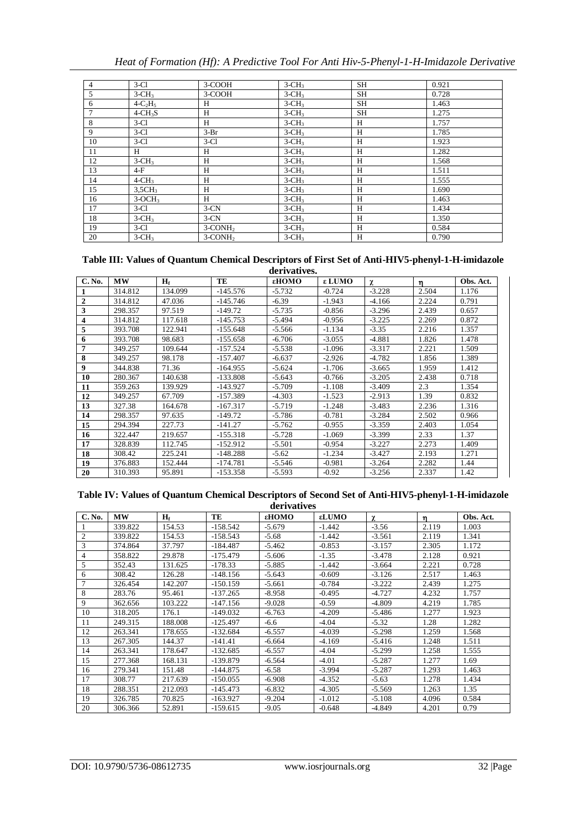|  |  |  |  |  |  |  | Heat of Formation (Hf): A Predictive Tool For Anti Hiv-5-Phenyl-1-H-Imidazole Derivative |  |
|--|--|--|--|--|--|--|------------------------------------------------------------------------------------------|--|
|--|--|--|--|--|--|--|------------------------------------------------------------------------------------------|--|

| $\overline{4}$ | $3-C1$             | 3-COOH                 | $3-CH3$ | SH | 0.921 |
|----------------|--------------------|------------------------|---------|----|-------|
| 5              | $3-CH3$            | 3-COOH                 | $3-CH3$ | SH | 0.728 |
| 6              | $4-C2H5$           | Н                      | $3-CH3$ | SH | 1.463 |
| 7              | $4-CH3S$           | H                      | $3-CH3$ | SH | 1.275 |
| 8              | $3-Cl$             | H                      | $3-CH3$ | H  | 1.757 |
| 9              | $3-C1$             | $3-Br$                 | $3-CH3$ | H  | 1.785 |
| 10             | $3-C1$             | $3-C1$                 | $3-CH3$ | H  | 1.923 |
| 11             | H                  | Н                      | $3-CH3$ | Н  | 1.282 |
| 12             | $3-CH3$            | H                      | $3-CH3$ | H  | 1.568 |
| 13             | $4-F$              | Н                      | $3-CH3$ | H  | 1.511 |
| 14             | $4-CH3$            | H                      | $3-CH3$ | Η  | 1.555 |
| 15             | 3.5CH <sub>3</sub> | H                      | $3-CH3$ | H  | 1.690 |
| 16             | $3-OCH3$           | H                      | $3-CH3$ | H  | 1.463 |
| 17             | $3-Cl$             | $3-CN$                 | $3-CH3$ | Η  | 1.434 |
| 18             | $3-CH3$            | $3-CN$                 | $3-CH3$ | Н  | 1.350 |
| 19             | $3-Cl$             | $3$ -CONH <sub>2</sub> | $3-CH3$ | Н  | 0.584 |
| 20             | $3-CH3$            | $3$ -CONH <sub>2</sub> | $3-CH3$ | Н  | 0.790 |

#### **Table III: Values of Quantum Chemical Descriptors of First Set of Anti-HIV5-phenyl-1-H-imidazole derivatives.**

| C. No.       | <b>MW</b> | $H_f$   | TE         | εHOMO    | ε LUMO   | γ        | 'n    | Obs. Act. |  |  |  |
|--------------|-----------|---------|------------|----------|----------|----------|-------|-----------|--|--|--|
|              | 314.812   | 134.099 | $-145.576$ | $-5.732$ | $-0.724$ | $-3.228$ | 2.504 | 1.176     |  |  |  |
| $\mathbf{2}$ | 314.812   | 47.036  | $-145.746$ | $-6.39$  | $-1.943$ | $-4.166$ | 2.224 | 0.791     |  |  |  |
| 3            | 298.357   | 97.519  | $-149.72$  | $-5.735$ | $-0.856$ | $-3.296$ | 2.439 | 0.657     |  |  |  |
| 4            | 314.812   | 117.618 | $-145.753$ | $-5.494$ | $-0.956$ | $-3.225$ | 2.269 | 0.872     |  |  |  |
| 5            | 393.708   | 122.941 | $-155.648$ | $-5.566$ | $-1.134$ | $-3.35$  | 2.216 | 1.357     |  |  |  |
| 6            | 393.708   | 98.683  | $-155.658$ | $-6.706$ | $-3.055$ | $-4.881$ | 1.826 | 1.478     |  |  |  |
| 7            | 349.257   | 109.644 | $-157.524$ | $-5.538$ | $-1.096$ | $-3.317$ | 2.221 | 1.509     |  |  |  |
| 8            | 349.257   | 98.178  | $-157.407$ | $-6.637$ | $-2.926$ | $-4.782$ | 1.856 | 1.389     |  |  |  |
| 9            | 344.838   | 71.36   | $-164.955$ | $-5.624$ | $-1.706$ | $-3.665$ | 1.959 | 1.412     |  |  |  |
| 10           | 280.367   | 140.638 | $-133.808$ | $-5.643$ | $-0.766$ | $-3.205$ | 2.438 | 0.718     |  |  |  |
| 11           | 359.263   | 139.929 | $-143.927$ | $-5.709$ | $-1.108$ | $-3.409$ | 2.3   | 1.354     |  |  |  |
| 12           | 349.257   | 67.709  | $-157.389$ | $-4.303$ | $-1.523$ | $-2.913$ | 1.39  | 0.832     |  |  |  |
| 13           | 327.38    | 164.678 | $-167.317$ | $-5.719$ | $-1.248$ | $-3.483$ | 2.236 | 1.316     |  |  |  |
| 14           | 298.357   | 97.635  | $-149.72$  | $-5.786$ | $-0.781$ | $-3.284$ | 2.502 | 0.966     |  |  |  |
| 15           | 294.394   | 227.73  | $-141.27$  | $-5.762$ | $-0.955$ | $-3.359$ | 2.403 | 1.054     |  |  |  |
| 16           | 322.447   | 219.657 | $-155.318$ | $-5.728$ | $-1.069$ | $-3.399$ | 2.33  | 1.37      |  |  |  |
| 17           | 328.839   | 112.745 | $-152.912$ | $-5.501$ | $-0.954$ | $-3.227$ | 2.273 | 1.409     |  |  |  |
| 18           | 308.42    | 225.241 | $-148.288$ | $-5.62$  | $-1.234$ | $-3.427$ | 2.193 | 1.271     |  |  |  |
| 19           | 376.883   | 152.444 | $-174.781$ | $-5.546$ | $-0.981$ | $-3.264$ | 2.282 | 1.44      |  |  |  |
| 20           | 310.393   | 95.891  | -153.358   | $-5.593$ | $-0.92$  | $-3.256$ | 2.337 | 1.42      |  |  |  |

#### **Table IV: Values of Quantum Chemical Descriptors of Second Set of Anti-HIV5-phenyl-1-H-imidazole derivatives**

|                | uclivatives |         |            |          |          |          |             |           |  |  |  |  |  |
|----------------|-------------|---------|------------|----------|----------|----------|-------------|-----------|--|--|--|--|--|
| C. No.         | МW          | $H_f$   | TE         | εHOMO    | εLUMO    | χ        | $\mathbf n$ | Obs. Act. |  |  |  |  |  |
|                | 339.822     | 154.53  | $-158.542$ | $-5.679$ | $-1.442$ | $-3.56$  | 2.119       | 1.003     |  |  |  |  |  |
| 2              | 339.822     | 154.53  | $-158.543$ | $-5.68$  | $-1.442$ | $-3.561$ | 2.119       | 1.341     |  |  |  |  |  |
| 3              | 374.864     | 37.797  | $-184.487$ | $-5.462$ | $-0.853$ | $-3.157$ | 2.305       | 1.172     |  |  |  |  |  |
| 4              | 358.822     | 29.878  | $-175.479$ | $-5.606$ | $-1.35$  | $-3.478$ | 2.128       | 0.921     |  |  |  |  |  |
| 5              | 352.43      | 131.625 | $-178.33$  | $-5.885$ | $-1.442$ | $-3.664$ | 2.221       | 0.728     |  |  |  |  |  |
| 6              | 308.42      | 126.28  | $-148.156$ | $-5.643$ | $-0.609$ | $-3.126$ | 2.517       | 1.463     |  |  |  |  |  |
| $\overline{7}$ | 326.454     | 142.207 | $-150.159$ | $-5.661$ | $-0.784$ | $-3.222$ | 2.439       | 1.275     |  |  |  |  |  |
| 8              | 283.76      | 95.461  | $-137.265$ | $-8.958$ | $-0.495$ | $-4.727$ | 4.232       | 1.757     |  |  |  |  |  |
| 9              | 362.656     | 103.222 | $-147.156$ | $-9.028$ | $-0.59$  | $-4.809$ | 4.219       | 1.785     |  |  |  |  |  |
| 10             | 318.205     | 176.1   | $-149.032$ | $-6.763$ | $-4.209$ | $-5.486$ | 1.277       | 1.923     |  |  |  |  |  |
| 11             | 249.315     | 188.008 | $-125.497$ | $-6.6$   | $-4.04$  | $-5.32$  | 1.28        | 1.282     |  |  |  |  |  |
| 12             | 263.341     | 178.655 | $-132.684$ | $-6.557$ | $-4.039$ | $-5.298$ | 1.259       | 1.568     |  |  |  |  |  |
| 13             | 267.305     | 144.37  | $-141.41$  | $-6.664$ | $-4.169$ | $-5.416$ | 1.248       | 1.511     |  |  |  |  |  |
| 14             | 263.341     | 178.647 | $-132.685$ | $-6.557$ | $-4.04$  | $-5.299$ | 1.258       | 1.555     |  |  |  |  |  |
| 15             | 277.368     | 168.131 | $-139.879$ | $-6.564$ | $-4.01$  | $-5.287$ | 1.277       | 1.69      |  |  |  |  |  |
| 16             | 279.341     | 151.48  | $-144.875$ | $-6.58$  | $-3.994$ | $-5.287$ | 1.293       | 1.463     |  |  |  |  |  |
| 17             | 308.77      | 217.639 | $-150.055$ | $-6.908$ | $-4.352$ | $-5.63$  | 1.278       | 1.434     |  |  |  |  |  |
| 18             | 288.351     | 212.093 | $-145.473$ | $-6.832$ | $-4.305$ | $-5.569$ | 1.263       | 1.35      |  |  |  |  |  |
| 19             | 326.785     | 70.825  | $-163.927$ | $-9.204$ | $-1.012$ | $-5.108$ | 4.096       | 0.584     |  |  |  |  |  |
| 20             | 306.366     | 52.891  | $-159.615$ | $-9.05$  | $-0.648$ | $-4.849$ | 4.201       | 0.79      |  |  |  |  |  |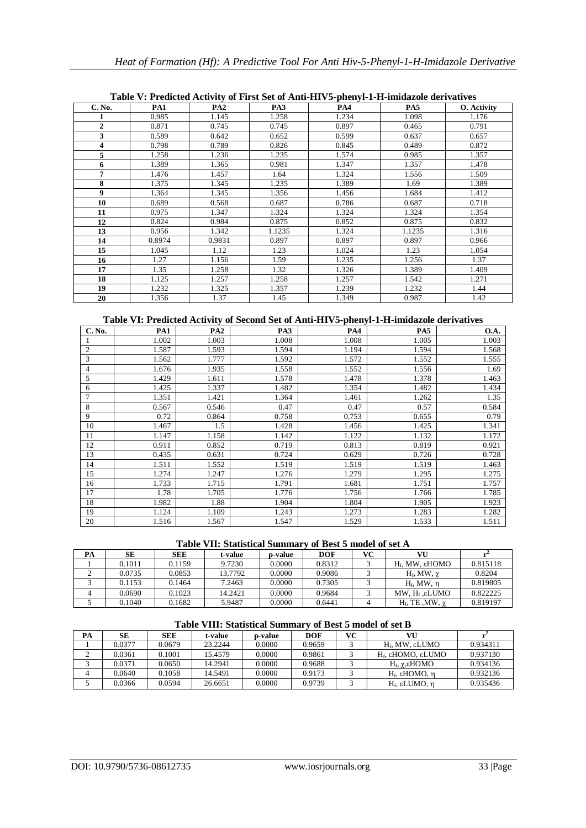|              |        |                 |                 | Table V. I redicted Activity of First Set of Altu-III v3-phenyl-1-11-mindazoie derivatives |        |             |
|--------------|--------|-----------------|-----------------|--------------------------------------------------------------------------------------------|--------|-------------|
| C. No.       | PA1    | PA <sub>2</sub> | PA <sub>3</sub> | <b>PA4</b>                                                                                 | PA5    | O. Activity |
|              | 0.985  | 1.145           | 1.258           | 1.234                                                                                      | 1.098  | 1.176       |
| $\mathbf{2}$ | 0.871  | 0.745           | 0.745           | 0.897                                                                                      | 0.465  | 0.791       |
| 3            | 0.589  | 0.642           | 0.652           | 0.599                                                                                      | 0.637  | 0.657       |
| 4            | 0.798  | 0.789           | 0.826           | 0.845                                                                                      | 0.489  | 0.872       |
| 5            | 1.258  | 1.236           | 1.235           | 1.574                                                                                      | 0.985  | 1.357       |
| 6            | 1.389  | 1.365           | 0.981           | 1.347                                                                                      | 1.357  | 1.478       |
| 7            | 1.476  | 1.457           | 1.64            | 1.324                                                                                      | 1.556  | 1.509       |
| 8            | 1.375  | 1.345           | 1.235           | 1.389                                                                                      | 1.69   | 1.389       |
| 9            | 1.364  | 1.345           | 1.356           | 1.456                                                                                      | 1.684  | 1.412       |
| 10           | 0.689  | 0.568           | 0.687           | 0.786                                                                                      | 0.687  | 0.718       |
| 11           | 0.975  | 1.347           | 1.324           | 1.324                                                                                      | 1.324  | 1.354       |
| 12           | 0.824  | 0.984           | 0.875           | 0.852                                                                                      | 0.875  | 0.832       |
| 13           | 0.956  | 1.342           | 1.1235          | 1.324                                                                                      | 1.1235 | 1.316       |
| 14           | 0.8974 | 0.9831          | 0.897           | 0.897                                                                                      | 0.897  | 0.966       |
| 15           | 1.045  | 1.12            | 1.23            | 1.024                                                                                      | 1.23   | 1.054       |
| 16           | 1.27   | 1.156           | 1.59            | 1.235                                                                                      | 1.256  | 1.37        |
| 17           | 1.35   | 1.258           | 1.32            | 1.326                                                                                      | 1.389  | 1.409       |
| 18           | 1.125  | 1.257           | 1.258           | 1.257                                                                                      | 1.542  | 1.271       |
| 19           | 1.232  | 1.325           | 1.357           | 1.239                                                                                      | 1.232  | 1.44        |
| 20           | 1.356  | 1.37            | 1.45            | 1.349                                                                                      | 0.987  | 1.42        |

# **Table V: Predicted Activity of First Set of Anti-HIV5-phenyl-1-H-imidazole derivatives**

# **Table VI: Predicted Activity of Second Set of Anti-HIV5-phenyl-1-H-imidazole derivatives**

| C. No.         | PA1   | PA <sub>2</sub> | PA3   | PA4   | PA5   | <b>O.A.</b> |
|----------------|-------|-----------------|-------|-------|-------|-------------|
|                | 1.002 | 1.003           | 1.008 | 1.008 | 1.005 | 1.003       |
| $\overline{2}$ | 1.587 | 1.593           | 1.594 | 1.194 | 1.594 | 1.568       |
| 3              | 1.562 | 1.777           | 1.592 | 1.572 | 1.552 | 1.555       |
| $\overline{4}$ | 1.676 | 1.935           | 1.558 | 1.552 | 1.556 | 1.69        |
| 5              | 1.429 | 1.611           | 1.578 | 1.478 | 1.378 | 1.463       |
| 6              | 1.425 | 1.337           | 1.482 | 1.354 | 1.482 | 1.434       |
| 7              | 1.351 | 1.421           | 1.364 | 1.461 | 1.262 | 1.35        |
| 8              | 0.567 | 0.546           | 0.47  | 0.47  | 0.57  | 0.584       |
| 9              | 0.72  | 0.864           | 0.758 | 0.753 | 0.655 | 0.79        |
| 10             | 1.467 | 1.5             | 1.428 | 1.456 | 1.425 | 1.341       |
| 11             | 1.147 | 1.158           | 1.142 | 1.122 | 1.132 | 1.172       |
| 12             | 0.911 | 0.852           | 0.719 | 0.813 | 0.819 | 0.921       |
| 13             | 0.435 | 0.631           | 0.724 | 0.629 | 0.726 | 0.728       |
| 14             | 1.511 | 1.552           | 1.519 | 1.519 | 1.519 | 1.463       |
| 15             | 1.274 | 1.247           | 1.276 | 1.279 | 1.295 | 1.275       |
| 16             | 1.733 | 1.715           | 1.791 | 1.681 | 1.751 | 1.757       |
| 17             | 1.78  | 1.705           | 1.776 | 1.756 | 1.766 | 1.785       |
| 18             | 1.982 | 1.88            | 1.904 | 1.804 | 1.905 | 1.923       |
| 19             | 1.124 | 1.109           | 1.243 | 1.273 | 1.283 | 1.282       |
| 20             | 1.516 | 1.567           | 1.547 | 1.529 | 1.533 | 1.511       |

#### **Table VII: Statistical Summary of Best 5 model of set A**

| PA | SЕ     | <b>SEE</b> | t-value | p-value | <b>DOF</b> | VС | VU                          |          |
|----|--------|------------|---------|---------|------------|----|-----------------------------|----------|
|    | 0.1011 | 0.1159     | 9.7230  | 0.0000  | 0.8312     |    | H <sub>6</sub> , MW, εHOMO  | 0.815118 |
|    | 0.0735 | 0.0853     | 13.7792 | 0.0000  | 0.9086     |    | $H_f$ , MW, $\gamma$        | 0.8204   |
|    | 0.1153 | 0.1464     | 7.2463  | 0.0000  | 0.7305     |    | $H_f$ . MW, n               | 0.819805 |
|    | 0.0690 | 0.1023     | 14.2421 | 0.0000  | 0.9684     |    | MW, $H_f$ , $\epsilon$ LUMO | 0.822225 |
|    | 0.1040 | 0.1682     | 5.9487  | 0.0000  | 0.6441     |    | $H_f$ , TE, MW, $\chi$      | 0.819197 |

## **Table VIII: Statistical Summary of Best 5 model of set B**

| PA | SЕ     | <b>SEE</b> | t-value | p-value | <b>DOF</b> | VС | VU                          |          |
|----|--------|------------|---------|---------|------------|----|-----------------------------|----------|
|    | 0.0377 | 0.0679     | 23.2244 | 0.0000  | 0.9659     |    | $Hf$ , MW, εLUMO            | 0.934311 |
|    | 0.0361 | 0.1001     | 15.4579 | 0.0000  | 0.9861     |    | H <sub>ε</sub> εHOMO, εLUMO | 0.937130 |
|    | 0.0371 | 0.0650     | 14.2941 | 0.0000  | 0.9688     |    | $H_f$ , γ, εΗΟΜΟ            | 0.934136 |
|    | 0.0640 | 0.1058     | 14.5491 | 0.0000  | 0.9173     |    | $Hf$ , εHOMO, η             | 0.932136 |
|    | 0.0366 | 0.0594     | 26.6651 | 0.0000  | 0.9739     |    | $Hf$ , εLUMO, η             | 0.935436 |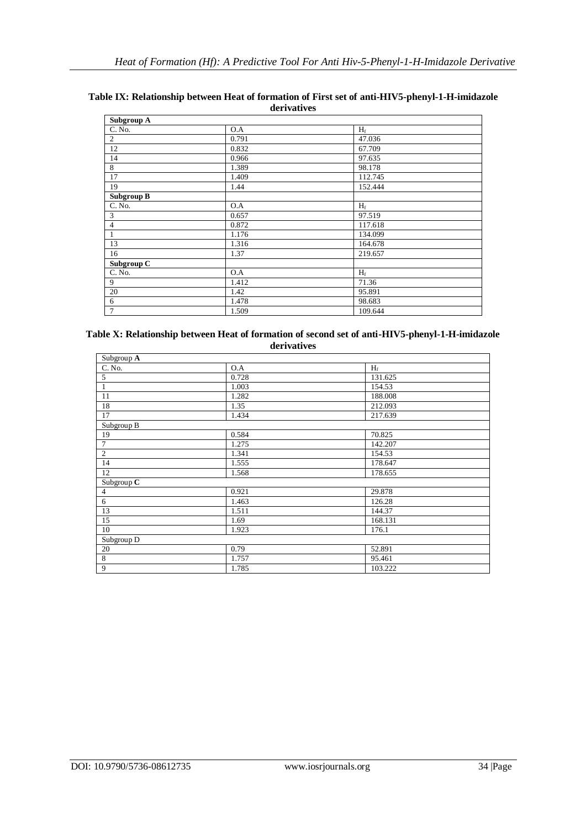| Subgroup A        |       |         |
|-------------------|-------|---------|
| C. No.            | O.A   | $H_f$   |
| 2                 | 0.791 | 47.036  |
| 12                | 0.832 | 67.709  |
| 14                | 0.966 | 97.635  |
| 8                 | 1.389 | 98.178  |
| 17                | 1.409 | 112.745 |
| 19                | 1.44  | 152.444 |
| <b>Subgroup B</b> |       |         |
| C. No.            | O.A   | $H_f$   |
| 3                 | 0.657 | 97.519  |
| $\overline{4}$    | 0.872 | 117.618 |
|                   | 1.176 | 134.099 |
| 13                | 1.316 | 164.678 |
| 16                | 1.37  | 219.657 |
| Subgroup C        |       |         |
| C. No.            | O.A   | $H_f$   |
| 9                 | 1.412 | 71.36   |
| 20                | 1.42  | 95.891  |
| 6                 | 1.478 | 98.683  |
| $\tau$            | 1.509 | 109.644 |

#### **Table IX: Relationship between Heat of formation of First set of anti-HIV5-phenyl-1-H-imidazole derivatives**

#### **Table X: Relationship between Heat of formation of second set of anti-HIV5-phenyl-1-H-imidazole derivatives**

| Subgroup A     |       |         |
|----------------|-------|---------|
| C. No.         | O.A   | $H_f$   |
| 5              | 0.728 | 131.625 |
| $\mathbf{1}$   | 1.003 | 154.53  |
| 11             | 1.282 | 188.008 |
| 18             | 1.35  | 212.093 |
| 17             | 1.434 | 217.639 |
| Subgroup B     |       |         |
| 19             | 0.584 | 70.825  |
| $\overline{7}$ | 1.275 | 142.207 |
| $\overline{c}$ | 1.341 | 154.53  |
| 14             | 1.555 | 178.647 |
| 12             | 1.568 | 178.655 |
| Subgroup C     |       |         |
| $\overline{4}$ | 0.921 | 29.878  |
| 6              | 1.463 | 126.28  |
| 13             | 1.511 | 144.37  |
| 15             | 1.69  | 168.131 |
| 10             | 1.923 | 176.1   |
| Subgroup D     |       |         |
| 20             | 0.79  | 52.891  |
| 8              | 1.757 | 95.461  |
| 9              | 1.785 | 103.222 |